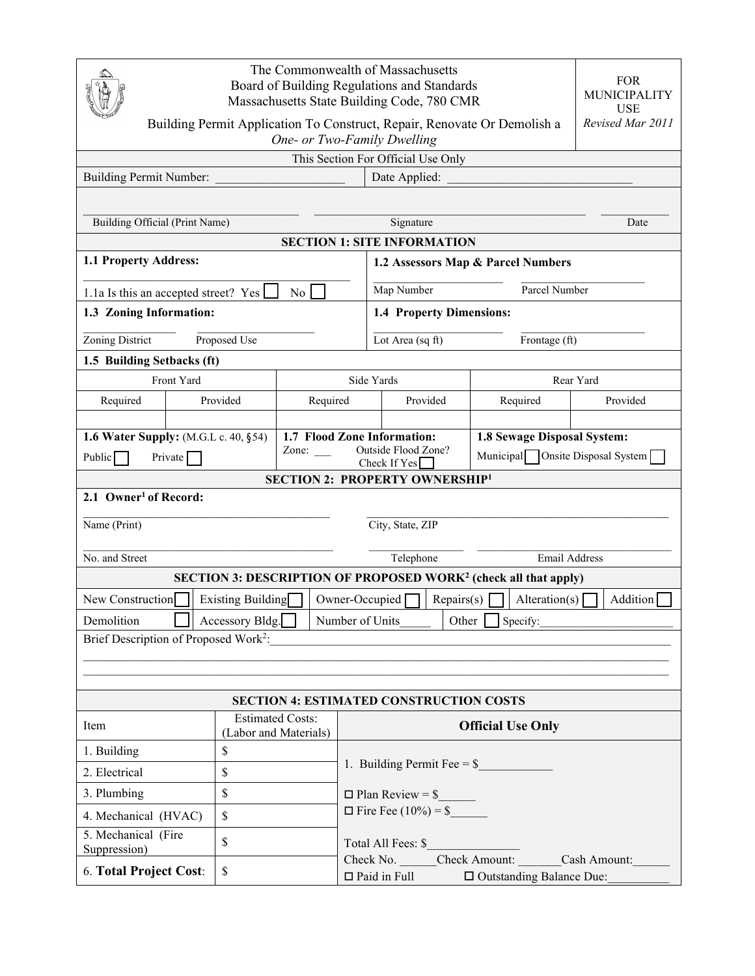| The Commonwealth of Massachusetts<br>Board of Building Regulations and Standards<br>Massachusetts State Building Code, 780 CMR |                                                             |                  |                                    |                              |                                  | <b>FOR</b><br><b>MUNICIPALITY</b><br><b>USE</b> |          |  |
|--------------------------------------------------------------------------------------------------------------------------------|-------------------------------------------------------------|------------------|------------------------------------|------------------------------|----------------------------------|-------------------------------------------------|----------|--|
| Revised Mar 2011<br>Building Permit Application To Construct, Repair, Renovate Or Demolish a<br>One- or Two-Family Dwelling    |                                                             |                  |                                    |                              |                                  |                                                 |          |  |
| This Section For Official Use Only                                                                                             |                                                             |                  |                                    |                              |                                  |                                                 |          |  |
| <b>Building Permit Number:</b><br>Date Applied:                                                                                |                                                             |                  |                                    |                              |                                  |                                                 |          |  |
|                                                                                                                                |                                                             |                  |                                    |                              |                                  |                                                 |          |  |
| Building Official (Print Name)                                                                                                 |                                                             |                  | Signature                          |                              |                                  |                                                 | Date     |  |
| <b>SECTION 1: SITE INFORMATION</b>                                                                                             |                                                             |                  |                                    |                              |                                  |                                                 |          |  |
| 1.1 Property Address:                                                                                                          |                                                             |                  | 1.2 Assessors Map & Parcel Numbers |                              |                                  |                                                 |          |  |
| 1.1a Is this an accepted street? Yes<br>No                                                                                     |                                                             |                  | Parcel Number<br>Map Number        |                              |                                  |                                                 |          |  |
| 1.3 Zoning Information:                                                                                                        |                                                             |                  | 1.4 Property Dimensions:           |                              |                                  |                                                 |          |  |
| Zoning District<br>Proposed Use                                                                                                |                                                             | Lot Area (sq ft) |                                    |                              | Frontage (ft)                    |                                                 |          |  |
| 1.5 Building Setbacks (ft)                                                                                                     |                                                             |                  |                                    |                              |                                  |                                                 |          |  |
| Front Yard                                                                                                                     |                                                             |                  |                                    | Side Yards                   |                                  | Rear Yard                                       |          |  |
| Required                                                                                                                       | Provided                                                    | Required         |                                    | Provided                     |                                  | Required                                        | Provided |  |
|                                                                                                                                |                                                             |                  |                                    |                              |                                  |                                                 |          |  |
| 1.6 Water Supply: (M.G.L c. 40, §54)                                                                                           | 1.7 Flood Zone Information:<br>Outside Flood Zone?<br>Zone: |                  |                                    | 1.8 Sewage Disposal System:  |                                  |                                                 |          |  |
| Public $\sqrt{\phantom{a}}$<br>Private                                                                                         |                                                             |                  | Check If $Yes$                     |                              | Municipal Onsite Disposal System |                                                 |          |  |
| <b>SECTION 2: PROPERTY OWNERSHIP1</b>                                                                                          |                                                             |                  |                                    |                              |                                  |                                                 |          |  |
| 2.1 Owner <sup>1</sup> of Record:                                                                                              |                                                             |                  |                                    |                              |                                  |                                                 |          |  |
| City, State, ZIP<br>Name (Print)                                                                                               |                                                             |                  |                                    |                              |                                  |                                                 |          |  |
| No. and Street                                                                                                                 |                                                             |                  |                                    | Telephone<br>Email Address   |                                  |                                                 |          |  |
| <b>SECTION 3: DESCRIPTION OF PROPOSED WORK<sup>2</sup> (check all that apply)</b>                                              |                                                             |                  |                                    |                              |                                  |                                                 |          |  |
| <b>Existing Building</b><br>Owner-Occupied<br>Repairs(s)<br>Addition<br>New Construction<br>Alternion(s)                       |                                                             |                  |                                    |                              |                                  |                                                 |          |  |
| Demolition<br>Accessory Bldg.<br>Number of Units<br>Other  <br>Specify:                                                        |                                                             |                  |                                    |                              |                                  |                                                 |          |  |
| Brief Description of Proposed Work <sup>2</sup> :                                                                              |                                                             |                  |                                    |                              |                                  |                                                 |          |  |
|                                                                                                                                |                                                             |                  |                                    |                              |                                  |                                                 |          |  |
|                                                                                                                                |                                                             |                  |                                    |                              |                                  |                                                 |          |  |
| <b>SECTION 4: ESTIMATED CONSTRUCTION COSTS</b>                                                                                 |                                                             |                  |                                    |                              |                                  |                                                 |          |  |
| <b>Estimated Costs:</b><br>Item<br>(Labor and Materials)                                                                       |                                                             |                  | <b>Official Use Only</b>           |                              |                                  |                                                 |          |  |
| \$<br>1. Building                                                                                                              |                                                             |                  |                                    |                              |                                  |                                                 |          |  |
| 2. Electrical<br>\$                                                                                                            |                                                             |                  |                                    | 1. Building Permit Fee = $$$ |                                  |                                                 |          |  |
| 3. Plumbing<br>\$                                                                                                              |                                                             |                  | $\Box$ Plan Review = \$            |                              |                                  |                                                 |          |  |
| \$<br>4. Mechanical (HVAC)                                                                                                     |                                                             |                  | $\Box$ Fire Fee (10%) = \$         |                              |                                  |                                                 |          |  |
| 5. Mechanical (Fire<br>Suppression)                                                                                            | \$                                                          |                  | Total All Fees: \$                 |                              |                                  |                                                 |          |  |
| Check No. Check Amount:<br>6. Total Project Cost:<br>\$<br>$\Box$ Paid in Full<br>□ Outstanding Balance Due:                   |                                                             |                  |                                    | Cash Amount:                 |                                  |                                                 |          |  |